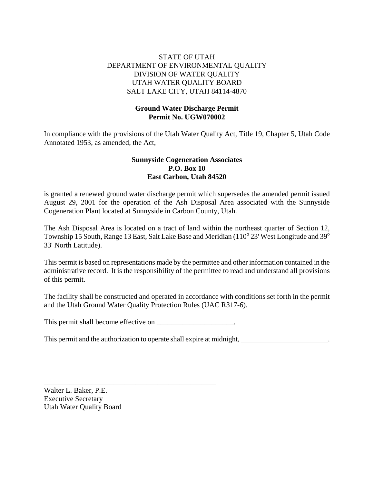# STATE OF UTAH DEPARTMENT OF ENVIRONMENTAL QUALITY DIVISION OF WATER QUALITY UTAH WATER QUALITY BOARD SALT LAKE CITY, UTAH 84114-4870

# **Ground Water Discharge Permit Permit No. UGW070002**

In compliance with the provisions of the Utah Water Quality Act, Title 19, Chapter 5, Utah Code Annotated 1953, as amended, the Act,

# **Sunnyside Cogeneration Associates P.O. Box 10 East Carbon, Utah 84520**

is granted a renewed ground water discharge permit which supersedes the amended permit issued August 29, 2001 for the operation of the Ash Disposal Area associated with the Sunnyside Cogeneration Plant located at Sunnyside in Carbon County, Utah.

The Ash Disposal Area is located on a tract of land within the northeast quarter of Section 12, Township 15 South, Range 13 East, Salt Lake Base and Meridian (110 $^{\circ}$  23' West Longitude and 39 $^{\circ}$ 33' North Latitude).

This permit is based on representations made by the permittee and other information contained in the administrative record. It is the responsibility of the permittee to read and understand all provisions of this permit.

The facility shall be constructed and operated in accordance with conditions set forth in the permit and the Utah Ground Water Quality Protection Rules (UAC R317-6).

This permit shall become effective on \_\_\_\_\_\_\_\_\_\_\_\_\_\_\_\_\_\_\_\_\_.

\_\_\_\_\_\_\_\_\_\_\_\_\_\_\_\_\_\_\_\_\_\_\_\_\_\_\_\_\_\_\_\_\_\_\_\_\_\_\_\_\_\_\_\_\_\_\_

This permit and the authorization to operate shall expire at midnight, \_\_\_\_\_\_\_\_\_\_\_\_\_\_\_\_\_\_\_\_\_\_\_\_.

Walter L. Baker, P.E. Executive Secretary Utah Water Quality Board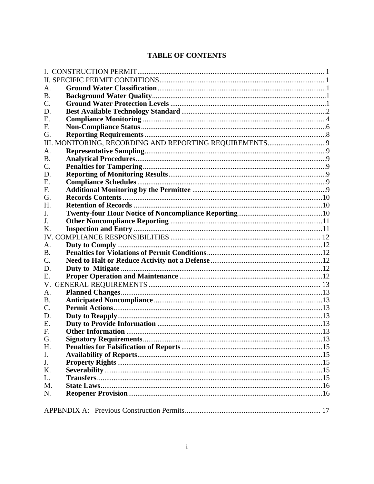# **TABLE OF CONTENTS**

| A.              |                               |    |  |
|-----------------|-------------------------------|----|--|
| <b>B.</b>       |                               |    |  |
| $\mathcal{C}$ . |                               |    |  |
| D.              |                               |    |  |
| Ε.              |                               |    |  |
| F.              |                               |    |  |
| G.              |                               |    |  |
|                 |                               |    |  |
| A.              |                               |    |  |
| <b>B.</b>       |                               |    |  |
| $\mathcal{C}$ . |                               |    |  |
| D.              |                               |    |  |
| E.              |                               |    |  |
| F.              |                               |    |  |
| G.              |                               |    |  |
| H.              |                               |    |  |
| Ι.              |                               |    |  |
| J.              |                               |    |  |
| Κ.              |                               |    |  |
|                 |                               |    |  |
| A.              |                               |    |  |
| <b>B.</b>       |                               |    |  |
| $C_{\cdot}$     |                               |    |  |
| D.              |                               |    |  |
| Е.              |                               |    |  |
| V.              |                               |    |  |
| A <sub>1</sub>  |                               |    |  |
| <b>B.</b>       |                               |    |  |
| C.              |                               |    |  |
| D.              |                               |    |  |
| Ε.              |                               |    |  |
| F.              |                               |    |  |
| G.              | <b>Signatory Requirements</b> | 13 |  |
| H.              |                               |    |  |
| I.              |                               |    |  |
| J.              |                               |    |  |
| K.              |                               |    |  |
| L.              |                               |    |  |
| M.              |                               |    |  |
| N.              |                               |    |  |
|                 |                               |    |  |
|                 |                               |    |  |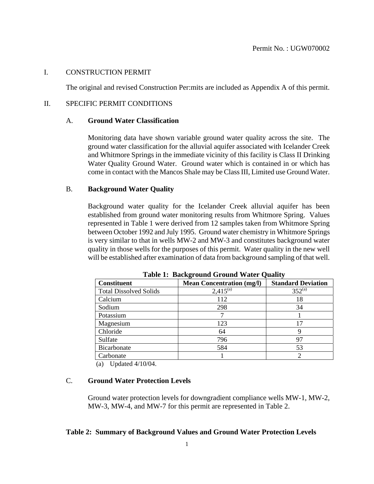### I. CONSTRUCTION PERMIT

The original and revised Construction Per:mits are included as Appendix A of this permit.

### II. SPECIFIC PERMIT CONDITIONS

# A. **Ground Water Classification**

Monitoring data have shown variable ground water quality across the site. The ground water classification for the alluvial aquifer associated with Icelander Creek and Whitmore Springs in the immediate vicinity of this facility is Class II Drinking Water Quality Ground Water. Ground water which is contained in or which has come in contact with the Mancos Shale may be Class III, Limited use Ground Water.

# B. **Background Water Quality**

Background water quality for the Icelander Creek alluvial aquifer has been established from ground water monitoring results from Whitmore Spring. Values represented in Table 1 were derived from 12 samples taken from Whitmore Spring between October 1992 and July 1995. Ground water chemistry in Whitmore Springs is very similar to that in wells MW-2 and MW-3 and constitutes background water quality in those wells for the purposes of this permit. Water quality in the new well will be established after examination of data from background sampling of that well.

| <b>Constituent</b>            | <b>Mean Concentration (mg/l)</b> | <b>Standard Deviation</b> |
|-------------------------------|----------------------------------|---------------------------|
| <b>Total Dissolved Solids</b> | $2,415^{(a)}$                    | $352^{(a)}$               |
| Calcium                       | 112                              | 18                        |
| Sodium                        | 298                              | 34                        |
| Potassium                     |                                  |                           |
| Magnesium                     | 123                              | 17                        |
| Chloride                      | 64                               | y                         |
| Sulfate                       | 796                              | 97                        |
| Bicarbonate                   | 584                              | 53                        |
| Carbonate                     |                                  |                           |

 **Table 1: Background Ground Water Quality**

(a) Updated 4/10/04.

# C. **Ground Water Protection Levels**

Ground water protection levels for downgradient compliance wells MW-1, MW-2, MW-3, MW-4, and MW-7 for this permit are represented in Table 2.

### **Table 2: Summary of Background Values and Ground Water Protection Levels**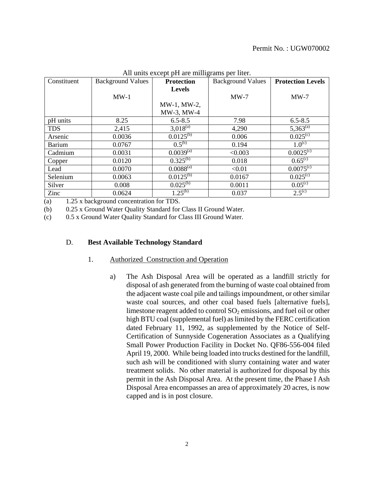| Constituent   | <b>Background Values</b> | <b>Protection</b>         | <b>Background Values</b> | <b>Protection Levels</b>  |
|---------------|--------------------------|---------------------------|--------------------------|---------------------------|
|               |                          | <b>Levels</b>             |                          |                           |
|               | $MW-1$                   |                           | $MW-7$                   | $MW-7$                    |
|               |                          | MW-1, MW-2,               |                          |                           |
|               |                          | MW-3, MW-4                |                          |                           |
| pH units      | 8.25                     | $6.5 - 8.5$               | 7.98                     | $6.5 - 8.5$               |
| <b>TDS</b>    | 2,415                    | $3,018^{(a)}$             | 4,290                    | $5,363^{(a)}$             |
| Arsenic       | 0.0036                   | $0.0125^{(b)}$            | 0.006                    | $0.025^{\circ}$           |
| <b>Barium</b> | 0.0767                   | $0.5^{(b)}$               | 0.194                    | $1.0^{(c)}$               |
| Cadmium       | 0.0031                   | $0.0039^{(a)}$            | < 0.003                  | $0.0025^{\overline{(c)}}$ |
| Copper        | 0.0120                   | $0.325^{(b)}$             | 0.018                    | $0.65^{\rm (c)}$          |
| Lead          | 0.0070                   | $0.0088^{(a)}$            | < 0.01                   | $0.0075^{\circ}$          |
| Selenium      | 0.0063                   | $0.012\overline{5^{(b)}}$ | 0.0167                   | $0.025^{\circ}$           |
| Silver        | 0.008                    | $0.025^{(b)}$             | 0.0011                   | $0.05^{(c)}$              |
| Zinc          | 0.0624                   | $1.25^{(b)}$              | 0.037                    | $2.5^{(c)}$               |

All units except pH are milligrams per liter

(a) 1.25 x background concentration for TDS.

(b) 0.25 x Ground Water Quality Standard for Class II Ground Water.

(c) 0.5 x Ground Water Quality Standard for Class III Ground Water.

#### D. **Best Available Technology Standard**

#### 1. Authorized Construction and Operation

a) The Ash Disposal Area will be operated as a landfill strictly for disposal of ash generated from the burning of waste coal obtained from the adjacent waste coal pile and tailings impoundment, or other similar waste coal sources, and other coal based fuels [alternative fuels], limestone reagent added to control  $SO_2$  emissions, and fuel oil or other high BTU coal (supplemental fuel) as limited by the FERC certification dated February 11, 1992, as supplemented by the Notice of Self-Certification of Sunnyside Cogeneration Associates as a Qualifying Small Power Production Facility in Docket No. QF86-556-004 filed April 19, 2000. While being loaded into trucks destined for the landfill, such ash will be conditioned with slurry containing water and water treatment solids. No other material is authorized for disposal by this permit in the Ash Disposal Area. At the present time, the Phase I Ash Disposal Area encompasses an area of approximately 20 acres, is now capped and is in post closure.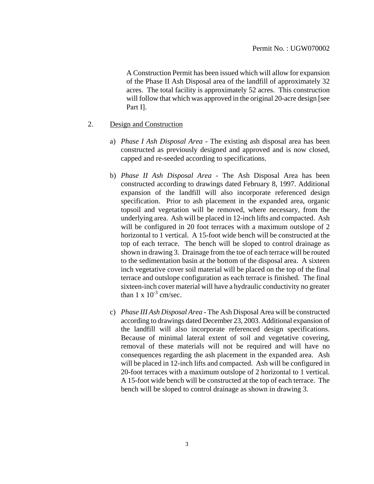A Construction Permit has been issued which will allow for expansion of the Phase II Ash Disposal area of the landfill of approximately 32 acres. The total facility is approximately 52 acres. This construction will follow that which was approved in the original 20-acre design [see Part I].

- 2. Design and Construction
	- a) *Phase I Ash Disposal Area* The existing ash disposal area has been constructed as previously designed and approved and is now closed, capped and re-seeded according to specifications.
	- b) *Phase II Ash Disposal Area* The Ash Disposal Area has been constructed according to drawings dated February 8, 1997. Additional expansion of the landfill will also incorporate referenced design specification. Prior to ash placement in the expanded area, organic topsoil and vegetation will be removed, where necessary, from the underlying area. Ash will be placed in 12-inch lifts and compacted. Ash will be configured in 20 foot terraces with a maximum outslope of 2 horizontal to 1 vertical. A 15-foot wide bench will be constructed at the top of each terrace. The bench will be sloped to control drainage as shown in drawing 3. Drainage from the toe of each terrace will be routed to the sedimentation basin at the bottom of the disposal area. A sixteen inch vegetative cover soil material will be placed on the top of the final terrace and outslope configuration as each terrace is finished. The final sixteen-inch cover material will have a hydraulic conductivity no greater than  $1 \times 10^{-3}$  cm/sec.
	- c) *Phase III Ash Disposal Area* The Ash Disposal Area will be constructed according to drawings dated December 23, 2003. Additional expansion of the landfill will also incorporate referenced design specifications. Because of minimal lateral extent of soil and vegetative covering, removal of these materials will not be required and will have no consequences regarding the ash placement in the expanded area. Ash will be placed in 12-inch lifts and compacted. Ash will be configured in 20-foot terraces with a maximum outslope of 2 horizontal to 1 vertical. A 15-foot wide bench will be constructed at the top of each terrace. The bench will be sloped to control drainage as shown in drawing 3.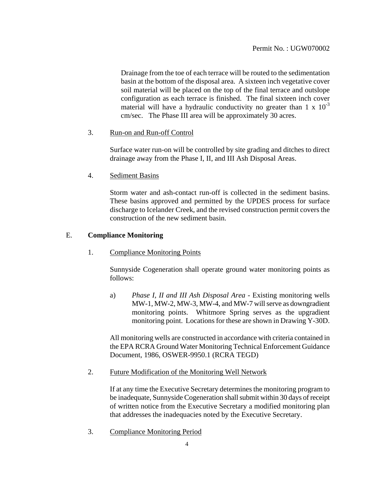Drainage from the toe of each terrace will be routed to the sedimentation basin at the bottom of the disposal area. A sixteen inch vegetative cover soil material will be placed on the top of the final terrace and outslope configuration as each terrace is finished. The final sixteen inch cover material will have a hydraulic conductivity no greater than  $1 \times 10^{-3}$ cm/sec. The Phase III area will be approximately 30 acres.

# 3. Run-on and Run-off Control

Surface water run-on will be controlled by site grading and ditches to direct drainage away from the Phase I, II, and III Ash Disposal Areas.

# 4. Sediment Basins

Storm water and ash-contact run-off is collected in the sediment basins. These basins approved and permitted by the UPDES process for surface discharge to Icelander Creek, and the revised construction permit covers the construction of the new sediment basin.

# E. **Compliance Monitoring**

1. Compliance Monitoring Points

Sunnyside Cogeneration shall operate ground water monitoring points as follows:

a) *Phase I, II and III Ash Disposal Area* - Existing monitoring wells MW-1, MW-2, MW-3, MW-4, and MW-7 will serve as downgradient monitoring points. Whitmore Spring serves as the upgradient monitoring point. Locations for these are shown in Drawing Y-30D.

All monitoring wells are constructed in accordance with criteria contained in the EPA RCRA Ground Water Monitoring Technical Enforcement Guidance Document, 1986, OSWER-9950.1 (RCRA TEGD)

2. Future Modification of the Monitoring Well Network

If at any time the Executive Secretary determines the monitoring program to be inadequate, Sunnyside Cogeneration shall submit within 30 days of receipt of written notice from the Executive Secretary a modified monitoring plan that addresses the inadequacies noted by the Executive Secretary.

3. Compliance Monitoring Period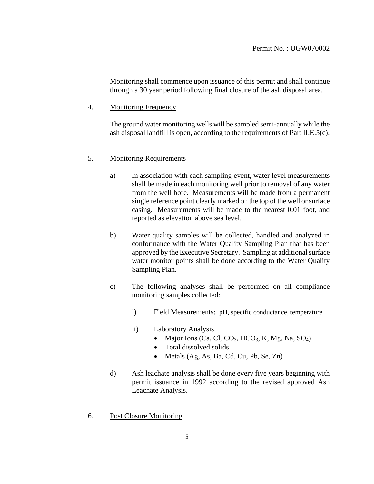Monitoring shall commence upon issuance of this permit and shall continue through a 30 year period following final closure of the ash disposal area.

4. Monitoring Frequency

The ground water monitoring wells will be sampled semi-annually while the ash disposal landfill is open, according to the requirements of Part II.E.5(c).

### 5. Monitoring Requirements

- a) In association with each sampling event, water level measurements shall be made in each monitoring well prior to removal of any water from the well bore. Measurements will be made from a permanent single reference point clearly marked on the top of the well or surface casing. Measurements will be made to the nearest 0.01 foot, and reported as elevation above sea level.
- b) Water quality samples will be collected, handled and analyzed in conformance with the Water Quality Sampling Plan that has been approved by the Executive Secretary. Sampling at additional surface water monitor points shall be done according to the Water Quality Sampling Plan.
- c) The following analyses shall be performed on all compliance monitoring samples collected:
	- i) Field Measurements: pH, specific conductance, temperature
	- ii) Laboratory Analysis
		- Major Ions (Ca, Cl, CO<sub>3</sub>, HCO<sub>3</sub>, K, Mg, Na, SO<sub>4</sub>)
		- Total dissolved solids
		- Metals (Ag, As, Ba, Cd, Cu, Pb, Se, Zn)
- d) Ash leachate analysis shall be done every five years beginning with permit issuance in 1992 according to the revised approved Ash Leachate Analysis.
- 6. Post Closure Monitoring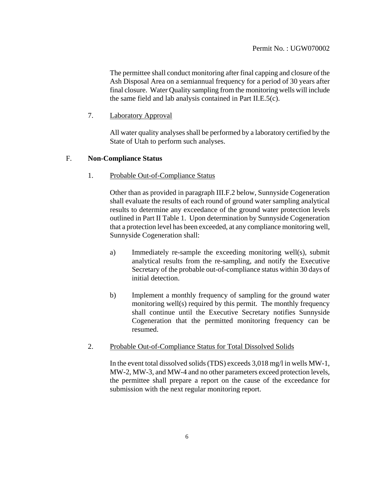The permittee shall conduct monitoring after final capping and closure of the Ash Disposal Area on a semiannual frequency for a period of 30 years after final closure. Water Quality sampling from the monitoring wells will include the same field and lab analysis contained in Part II.E.5(c).

7. Laboratory Approval

All water quality analyses shall be performed by a laboratory certified by the State of Utah to perform such analyses.

### F. **Non-Compliance Status**

1. Probable Out-of-Compliance Status

Other than as provided in paragraph III.F.2 below, Sunnyside Cogeneration shall evaluate the results of each round of ground water sampling analytical results to determine any exceedance of the ground water protection levels outlined in Part II Table 1. Upon determination by Sunnyside Cogeneration that a protection level has been exceeded, at any compliance monitoring well, Sunnyside Cogeneration shall:

- a) Immediately re-sample the exceeding monitoring well(s), submit analytical results from the re-sampling, and notify the Executive Secretary of the probable out-of-compliance status within 30 days of initial detection.
- b) Implement a monthly frequency of sampling for the ground water monitoring well(s) required by this permit. The monthly frequency shall continue until the Executive Secretary notifies Sunnyside Cogeneration that the permitted monitoring frequency can be resumed.
- 2. Probable Out-of-Compliance Status for Total Dissolved Solids

In the event total dissolved solids (TDS) exceeds 3,018 mg/l in wells MW-1, MW-2, MW-3, and MW-4 and no other parameters exceed protection levels, the permittee shall prepare a report on the cause of the exceedance for submission with the next regular monitoring report.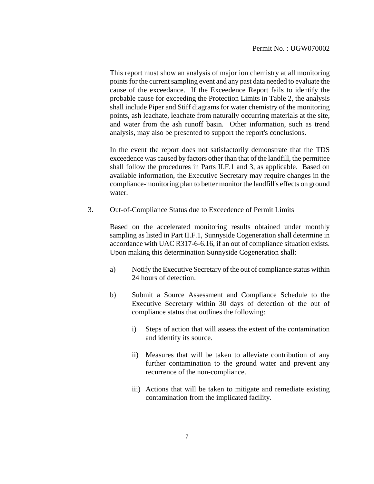This report must show an analysis of major ion chemistry at all monitoring points for the current sampling event and any past data needed to evaluate the cause of the exceedance. If the Exceedence Report fails to identify the probable cause for exceeding the Protection Limits in Table 2, the analysis shall include Piper and Stiff diagrams for water chemistry of the monitoring points, ash leachate, leachate from naturally occurring materials at the site, and water from the ash runoff basin. Other information, such as trend analysis, may also be presented to support the report's conclusions.

In the event the report does not satisfactorily demonstrate that the TDS exceedence was caused by factors other than that of the landfill, the permittee shall follow the procedures in Parts II.F.1 and 3, as applicable. Based on available information, the Executive Secretary may require changes in the compliance-monitoring plan to better monitor the landfill's effects on ground water.

### 3. Out-of-Compliance Status due to Exceedence of Permit Limits

Based on the accelerated monitoring results obtained under monthly sampling as listed in Part II.F.1, Sunnyside Cogeneration shall determine in accordance with UAC R317-6-6.16, if an out of compliance situation exists. Upon making this determination Sunnyside Cogeneration shall:

- a) Notify the Executive Secretary of the out of compliance status within 24 hours of detection.
- b) Submit a Source Assessment and Compliance Schedule to the Executive Secretary within 30 days of detection of the out of compliance status that outlines the following:
	- i) Steps of action that will assess the extent of the contamination and identify its source.
	- ii) Measures that will be taken to alleviate contribution of any further contamination to the ground water and prevent any recurrence of the non-compliance.
	- iii) Actions that will be taken to mitigate and remediate existing contamination from the implicated facility.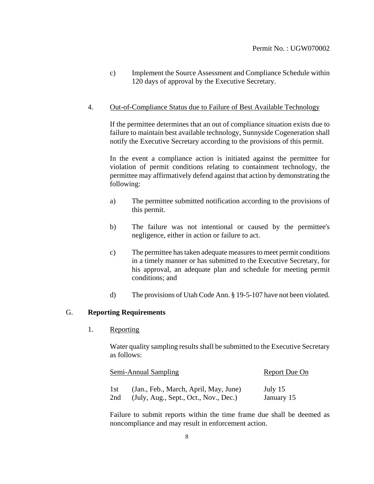c) Implement the Source Assessment and Compliance Schedule within 120 days of approval by the Executive Secretary.

### 4. Out-of-Compliance Status due to Failure of Best Available Technology

If the permittee determines that an out of compliance situation exists due to failure to maintain best available technology, Sunnyside Cogeneration shall notify the Executive Secretary according to the provisions of this permit.

In the event a compliance action is initiated against the permittee for violation of permit conditions relating to containment technology, the permittee may affirmatively defend against that action by demonstrating the following:

- a) The permittee submitted notification according to the provisions of this permit.
- b) The failure was not intentional or caused by the permittee's negligence, either in action or failure to act.
- c) The permittee has taken adequate measures to meet permit conditions in a timely manner or has submitted to the Executive Secretary, for his approval, an adequate plan and schedule for meeting permit conditions; and
- d) The provisions of Utah Code Ann. § 19-5-107 have not been violated.

### G. **Reporting Requirements**

1. Reporting

Water quality sampling results shall be submitted to the Executive Secretary as follows:

|     | Semi-Annual Sampling                  | Report Due On |  |
|-----|---------------------------------------|---------------|--|
| 1st | (Jan., Feb., March, April, May, June) | July 15       |  |
| 2nd | (July, Aug., Sept., Oct., Nov., Dec.) | January 15    |  |

Failure to submit reports within the time frame due shall be deemed as noncompliance and may result in enforcement action.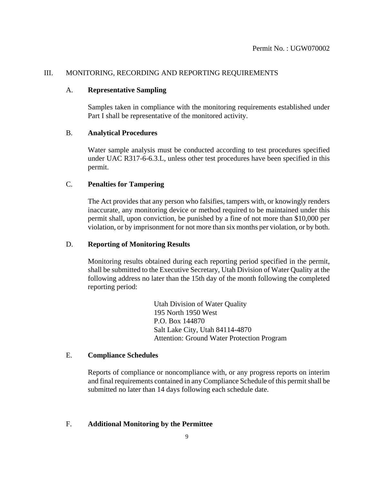### III. MONITORING, RECORDING AND REPORTING REQUIREMENTS

### A. **Representative Sampling**

Samples taken in compliance with the monitoring requirements established under Part I shall be representative of the monitored activity.

### B. **Analytical Procedures**

Water sample analysis must be conducted according to test procedures specified under UAC R317-6-6.3.L, unless other test procedures have been specified in this permit.

# C. **Penalties for Tampering**

The Act provides that any person who falsifies, tampers with, or knowingly renders inaccurate, any monitoring device or method required to be maintained under this permit shall, upon conviction, be punished by a fine of not more than \$10,000 per violation, or by imprisonment for not more than six months per violation, or by both.

### D. **Reporting of Monitoring Results**

Monitoring results obtained during each reporting period specified in the permit, shall be submitted to the Executive Secretary, Utah Division of Water Quality at the following address no later than the 15th day of the month following the completed reporting period:

> Utah Division of Water Quality 195 North 1950 West P.O. Box 144870 Salt Lake City, Utah 84114-4870 Attention: Ground Water Protection Program

# E. **Compliance Schedules**

Reports of compliance or noncompliance with, or any progress reports on interim and final requirements contained in any Compliance Schedule of this permit shall be submitted no later than 14 days following each schedule date.

### F. **Additional Monitoring by the Permittee**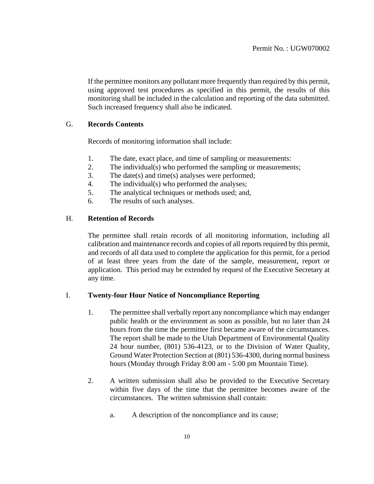If the permittee monitors any pollutant more frequently than required by this permit, using approved test procedures as specified in this permit, the results of this monitoring shall be included in the calculation and reporting of the data submitted. Such increased frequency shall also be indicated.

### G. **Records Contents**

Records of monitoring information shall include:

- 1. The date, exact place, and time of sampling or measurements:
- 2. The individual(s) who performed the sampling or measurements;
- 3. The date(s) and time(s) analyses were performed;
- 4. The individual(s) who performed the analyses;
- 5. The analytical techniques or methods used; and,
- 6. The results of such analyses.

### H. **Retention of Records**

The permittee shall retain records of all monitoring information, including all calibration and maintenance records and copies of all reports required by this permit, and records of all data used to complete the application for this permit, for a period of at least three years from the date of the sample, measurement, report or application. This period may be extended by request of the Executive Secretary at any time.

### I. **Twenty-four Hour Notice of Noncompliance Reporting**

- 1. The permittee shall verbally report any noncompliance which may endanger public health or the environment as soon as possible, but no later than 24 hours from the time the permittee first became aware of the circumstances. The report shall be made to the Utah Department of Environmental Quality 24 hour number, (801) 536-4123, or to the Division of Water Quality, Ground Water Protection Section at (801) 536-4300, during normal business hours (Monday through Friday 8:00 am - 5:00 pm Mountain Time).
- 2. A written submission shall also be provided to the Executive Secretary within five days of the time that the permittee becomes aware of the circumstances. The written submission shall contain:
	- a. A description of the noncompliance and its cause;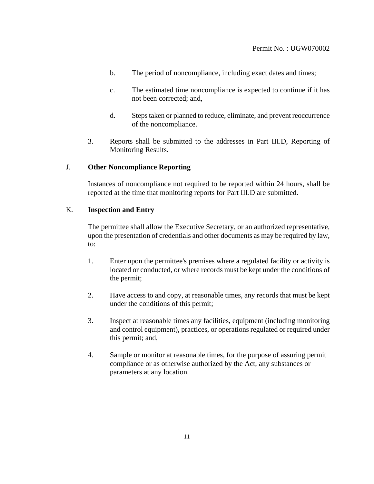- b. The period of noncompliance, including exact dates and times;
- c. The estimated time noncompliance is expected to continue if it has not been corrected; and,
- d. Steps taken or planned to reduce, eliminate, and prevent reoccurrence of the noncompliance.
- 3. Reports shall be submitted to the addresses in Part III.D, Reporting of Monitoring Results.

### J. **Other Noncompliance Reporting**

Instances of noncompliance not required to be reported within 24 hours, shall be reported at the time that monitoring reports for Part III.D are submitted.

# K. **Inspection and Entry**

The permittee shall allow the Executive Secretary, or an authorized representative, upon the presentation of credentials and other documents as may be required by law, to:

- 1. Enter upon the permittee's premises where a regulated facility or activity is located or conducted, or where records must be kept under the conditions of the permit;
- 2. Have access to and copy, at reasonable times, any records that must be kept under the conditions of this permit;
- 3. Inspect at reasonable times any facilities, equipment (including monitoring and control equipment), practices, or operations regulated or required under this permit; and,
- 4. Sample or monitor at reasonable times, for the purpose of assuring permit compliance or as otherwise authorized by the Act, any substances or parameters at any location.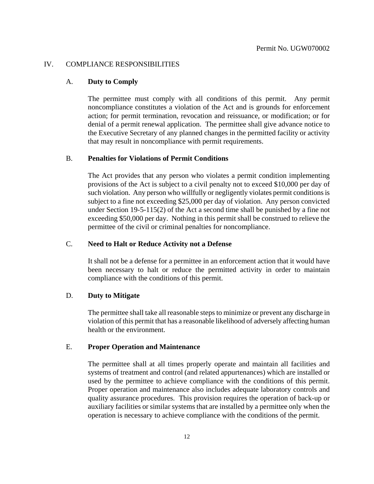### IV. COMPLIANCE RESPONSIBILITIES

### A. **Duty to Comply**

The permittee must comply with all conditions of this permit. Any permit noncompliance constitutes a violation of the Act and is grounds for enforcement action; for permit termination, revocation and reissuance, or modification; or for denial of a permit renewal application. The permittee shall give advance notice to the Executive Secretary of any planned changes in the permitted facility or activity that may result in noncompliance with permit requirements.

#### B. **Penalties for Violations of Permit Conditions**

The Act provides that any person who violates a permit condition implementing provisions of the Act is subject to a civil penalty not to exceed \$10,000 per day of such violation. Any person who willfully or negligently violates permit conditions is subject to a fine not exceeding \$25,000 per day of violation. Any person convicted under Section 19-5-115(2) of the Act a second time shall be punished by a fine not exceeding \$50,000 per day. Nothing in this permit shall be construed to relieve the permittee of the civil or criminal penalties for noncompliance.

#### C. **Need to Halt or Reduce Activity not a Defense**

It shall not be a defense for a permittee in an enforcement action that it would have been necessary to halt or reduce the permitted activity in order to maintain compliance with the conditions of this permit.

#### D. **Duty to Mitigate**

The permittee shall take all reasonable steps to minimize or prevent any discharge in violation of this permit that has a reasonable likelihood of adversely affecting human health or the environment.

### E. **Proper Operation and Maintenance**

The permittee shall at all times properly operate and maintain all facilities and systems of treatment and control (and related appurtenances) which are installed or used by the permittee to achieve compliance with the conditions of this permit. Proper operation and maintenance also includes adequate laboratory controls and quality assurance procedures. This provision requires the operation of back-up or auxiliary facilities or similar systems that are installed by a permittee only when the operation is necessary to achieve compliance with the conditions of the permit.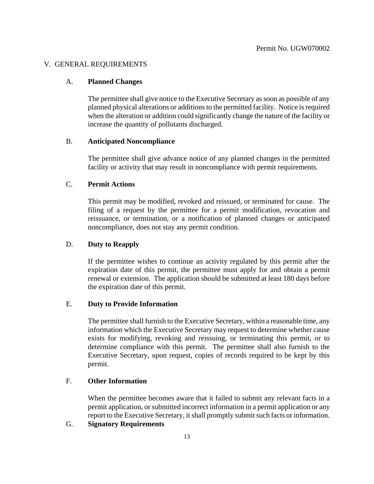### V. GENERAL REQUIREMENTS

### A. **Planned Changes**

The permittee shall give notice to the Executive Secretary as soon as possible of any planned physical alterations or additions to the permitted facility. Notice is required when the alteration or addition could significantly change the nature of the facility or increase the quantity of pollutants discharged.

### B. **Anticipated Noncompliance**

The permittee shall give advance notice of any planned changes in the permitted facility or activity that may result in noncompliance with permit requirements.

### C. **Permit Actions**

This permit may be modified, revoked and reissued, or terminated for cause. The filing of a request by the permittee for a permit modification, revocation and reissuance, or termination, or a notification of planned changes or anticipated noncompliance, does not stay any permit condition.

# D. **Duty to Reapply**

If the permittee wishes to continue an activity regulated by this permit after the expiration date of this permit, the permittee must apply for and obtain a permit renewal or extension. The application should be submitted at least 180 days before the expiration date of this permit.

# E. **Duty to Provide Information**

The permittee shall furnish to the Executive Secretary, within a reasonable time, any information which the Executive Secretary may request to determine whether cause exists for modifying, revoking and reissuing, or terminating this permit, or to determine compliance with this permit. The permittee shall also furnish to the Executive Secretary, upon request, copies of records required to be kept by this permit.

# F. **Other Information**

When the permittee becomes aware that it failed to submit any relevant facts in a permit application, or submitted incorrect information in a permit application or any report to the Executive Secretary, it shall promptly submit such facts or information.

### G. **Signatory Requirements**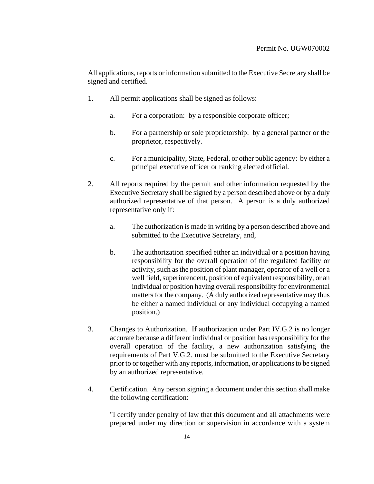All applications, reports or information submitted to the Executive Secretary shall be signed and certified.

- 1. All permit applications shall be signed as follows:
	- a. For a corporation: by a responsible corporate officer;
	- b. For a partnership or sole proprietorship: by a general partner or the proprietor, respectively.
	- c. For a municipality, State, Federal, or other public agency: by either a principal executive officer or ranking elected official.
- 2. All reports required by the permit and other information requested by the Executive Secretary shall be signed by a person described above or by a duly authorized representative of that person. A person is a duly authorized representative only if:
	- a. The authorization is made in writing by a person described above and submitted to the Executive Secretary, and,
	- b. The authorization specified either an individual or a position having responsibility for the overall operation of the regulated facility or activity, such as the position of plant manager, operator of a well or a well field, superintendent, position of equivalent responsibility, or an individual or position having overall responsibility for environmental matters for the company. (A duly authorized representative may thus be either a named individual or any individual occupying a named position.)
- 3. Changes to Authorization. If authorization under Part IV.G.2 is no longer accurate because a different individual or position has responsibility for the overall operation of the facility, a new authorization satisfying the requirements of Part V.G.2. must be submitted to the Executive Secretary prior to or together with any reports, information, or applications to be signed by an authorized representative.
- 4. Certification. Any person signing a document under this section shall make the following certification:

"I certify under penalty of law that this document and all attachments were prepared under my direction or supervision in accordance with a system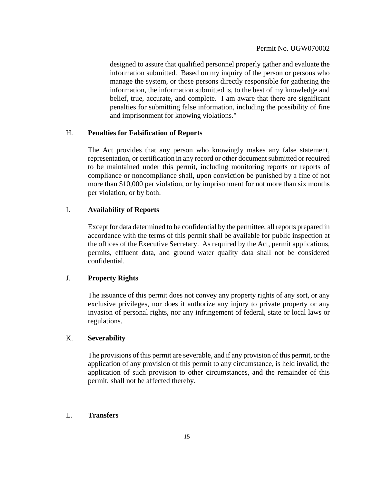designed to assure that qualified personnel properly gather and evaluate the information submitted. Based on my inquiry of the person or persons who manage the system, or those persons directly responsible for gathering the information, the information submitted is, to the best of my knowledge and belief, true, accurate, and complete. I am aware that there are significant penalties for submitting false information, including the possibility of fine and imprisonment for knowing violations."

# H. **Penalties for Falsification of Reports**

The Act provides that any person who knowingly makes any false statement, representation, or certification in any record or other document submitted or required to be maintained under this permit, including monitoring reports or reports of compliance or noncompliance shall, upon conviction be punished by a fine of not more than \$10,000 per violation, or by imprisonment for not more than six months per violation, or by both.

# I. **Availability of Reports**

Except for data determined to be confidential by the permittee, all reports prepared in accordance with the terms of this permit shall be available for public inspection at the offices of the Executive Secretary. As required by the Act, permit applications, permits, effluent data, and ground water quality data shall not be considered confidential.

### J. **Property Rights**

The issuance of this permit does not convey any property rights of any sort, or any exclusive privileges, nor does it authorize any injury to private property or any invasion of personal rights, nor any infringement of federal, state or local laws or regulations.

### K. **Severability**

The provisions of this permit are severable, and if any provision of this permit, or the application of any provision of this permit to any circumstance, is held invalid, the application of such provision to other circumstances, and the remainder of this permit, shall not be affected thereby.

### L. **Transfers**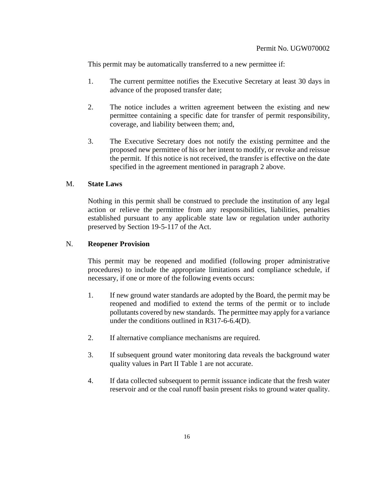This permit may be automatically transferred to a new permittee if:

- 1. The current permittee notifies the Executive Secretary at least 30 days in advance of the proposed transfer date;
- 2. The notice includes a written agreement between the existing and new permittee containing a specific date for transfer of permit responsibility, coverage, and liability between them; and,
- 3. The Executive Secretary does not notify the existing permittee and the proposed new permittee of his or her intent to modify, or revoke and reissue the permit. If this notice is not received, the transfer is effective on the date specified in the agreement mentioned in paragraph 2 above.

### M. **State Laws**

Nothing in this permit shall be construed to preclude the institution of any legal action or relieve the permittee from any responsibilities, liabilities, penalties established pursuant to any applicable state law or regulation under authority preserved by Section 19-5-117 of the Act.

### N. **Reopener Provision**

This permit may be reopened and modified (following proper administrative procedures) to include the appropriate limitations and compliance schedule, if necessary, if one or more of the following events occurs:

- 1. If new ground water standards are adopted by the Board, the permit may be reopened and modified to extend the terms of the permit or to include pollutants covered by new standards. The permittee may apply for a variance under the conditions outlined in R317-6-6.4(D).
- 2. If alternative compliance mechanisms are required.
- 3. If subsequent ground water monitoring data reveals the background water quality values in Part II Table 1 are not accurate.
- 4. If data collected subsequent to permit issuance indicate that the fresh water reservoir and or the coal runoff basin present risks to ground water quality.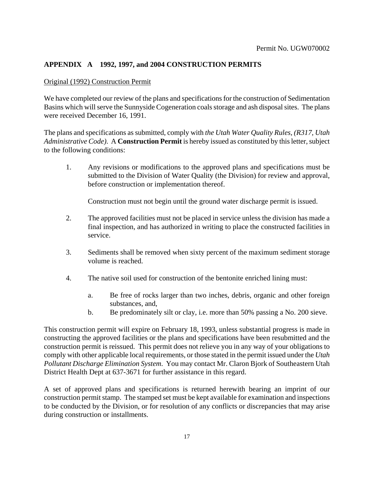# **APPENDIX A 1992, 1997, and 2004 CONSTRUCTION PERMITS**

### Original (1992) Construction Permit

We have completed our review of the plans and specifications for the construction of Sedimentation Basins which will serve the Sunnyside Cogeneration coals storage and ash disposal sites. The plans were received December 16, 1991.

The plans and specifications as submitted, comply with *the Utah Water Quality Rules, (R317, Utah Administrative Code)*. A **Construction Permit** is hereby issued as constituted by this letter, subject to the following conditions:

1. Any revisions or modifications to the approved plans and specifications must be submitted to the Division of Water Quality (the Division) for review and approval, before construction or implementation thereof.

Construction must not begin until the ground water discharge permit is issued.

- 2. The approved facilities must not be placed in service unless the division has made a final inspection, and has authorized in writing to place the constructed facilities in service.
- 3. Sediments shall be removed when sixty percent of the maximum sediment storage volume is reached.
- 4. The native soil used for construction of the bentonite enriched lining must:
	- a. Be free of rocks larger than two inches, debris, organic and other foreign substances, and,
	- b. Be predominately silt or clay, i.e. more than 50% passing a No. 200 sieve.

This construction permit will expire on February 18, 1993, unless substantial progress is made in constructing the approved facilities or the plans and specifications have been resubmitted and the construction permit is reissued. This permit does not relieve you in any way of your obligations to comply with other applicable local requirements, or those stated in the permit issued under the *Utah Pollutant Discharge Elimination System*. You may contact Mr. Claron Bjork of Southeastern Utah District Health Dept at 637-3671 for further assistance in this regard.

A set of approved plans and specifications is returned herewith bearing an imprint of our construction permit stamp. The stamped set must be kept available for examination and inspections to be conducted by the Division, or for resolution of any conflicts or discrepancies that may arise during construction or installments.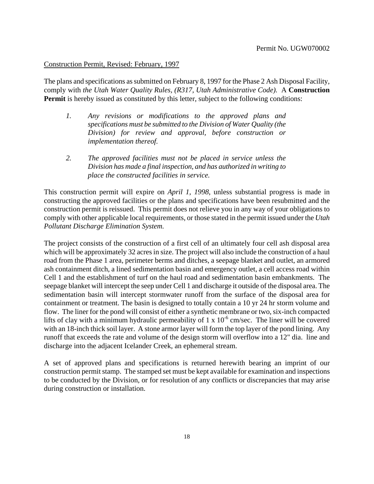### Construction Permit, Revised: February, 1997

The plans and specifications as submitted on February 8, 1997 for the Phase 2 Ash Disposal Facility, comply with *the Utah Water Quality Rules, (R317, Utah Administrative Code).* A **Construction Permit** is hereby issued as constituted by this letter, subject to the following conditions:

- *1. Any revisions or modifications to the approved plans and specifications must be submitted to the Division of Water Quality (the Division) for review and approval, before construction or implementation thereof.*
- *2. The approved facilities must not be placed in service unless the Division has made a final inspection, and has authorized in writing to place the constructed facilities in service.*

This construction permit will expire on *April 1, 1998*, unless substantial progress is made in constructing the approved facilities or the plans and specifications have been resubmitted and the construction permit is reissued. This permit does not relieve you in any way of your obligations to comply with other applicable local requirements, or those stated in the permit issued under the *Utah Pollutant Discharge Elimination System.*

The project consists of the construction of a first cell of an ultimately four cell ash disposal area which will be approximately 32 acres in size. The project will also include the construction of a haul road from the Phase 1 area, perimeter berms and ditches, a seepage blanket and outlet, an armored ash containment ditch, a lined sedimentation basin and emergency outlet, a cell access road within Cell 1 and the establishment of turf on the haul road and sedimentation basin embankments. The seepage blanket will intercept the seep under Cell 1 and discharge it outside of the disposal area. The sedimentation basin will intercept stormwater runoff from the surface of the disposal area for containment or treatment. The basin is designed to totally contain a 10 yr 24 hr storm volume and flow. The liner for the pond will consist of either a synthetic membrane or two, six-inch compacted lifts of clay with a minimum hydraulic permeability of 1 x  $10^{-6}$  cm/sec. The liner will be covered with an 18-inch thick soil layer. A stone armor layer will form the top layer of the pond lining. Any runoff that exceeds the rate and volume of the design storm will overflow into a 12" dia. line and discharge into the adjacent Icelander Creek, an ephemeral stream.

A set of approved plans and specifications is returned herewith bearing an imprint of our construction permit stamp. The stamped set must be kept available for examination and inspections to be conducted by the Division, or for resolution of any conflicts or discrepancies that may arise during construction or installation.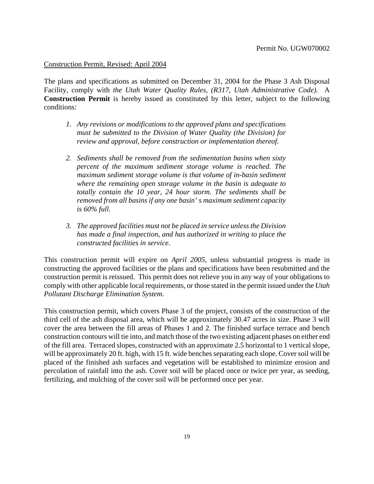#### Construction Permit, Revised: April 2004

The plans and specifications as submitted on December 31, 2004 for the Phase 3 Ash Disposal Facility, comply with *the Utah Water Quality Rules, (R317, Utah Administrative Code).* A **Construction Permit** is hereby issued as constituted by this letter, subject to the following conditions:

- *1. Any revisions or modifications to the approved plans and specifications must be submitted to the Division of Water Quality (the Division) for review and approval, before construction or implementation thereof.*
- *2. Sediments shall be removed from the sedimentation basins when sixty percent of the maximum sediment storage volume is reached. The maximum sediment storage volume is that volume of in-basin sediment where the remaining open storage volume in the basin is adequate to totally contain the 10 year, 24 hour storm. The sediments shall be removed from all basins if any one basin' s maximum sediment capacity is 60% full.*
- *3. The approved facilities must not be placed in service unless the Division has made a final inspection, and has authorized in writing to place the constructed facilities in service.*

This construction permit will expire on *April 2005*, unless substantial progress is made in constructing the approved facilities or the plans and specifications have been resubmitted and the construction permit is reissued. This permit does not relieve you in any way of your obligations to comply with other applicable local requirements, or those stated in the permit issued under the *Utah Pollutant Discharge Elimination System.*

This construction permit, which covers Phase 3 of the project, consists of the construction of the third cell of the ash disposal area, which will be approximately 30.47 acres in size. Phase 3 will cover the area between the fill areas of Phases 1 and 2. The finished surface terrace and bench construction contours will tie into, and match those of the two existing adjacent phases on either end of the fill area. Terraced slopes, constructed with an approximate 2.5 horizontal to 1 vertical slope, will be approximately 20 ft. high, with 15 ft. wide benches separating each slope. Cover soil will be placed of the finished ash surfaces and vegetation will be established to minimize erosion and percolation of rainfall into the ash. Cover soil will be placed once or twice per year, as seeding, fertilizing, and mulching of the cover soil will be performed once per year.